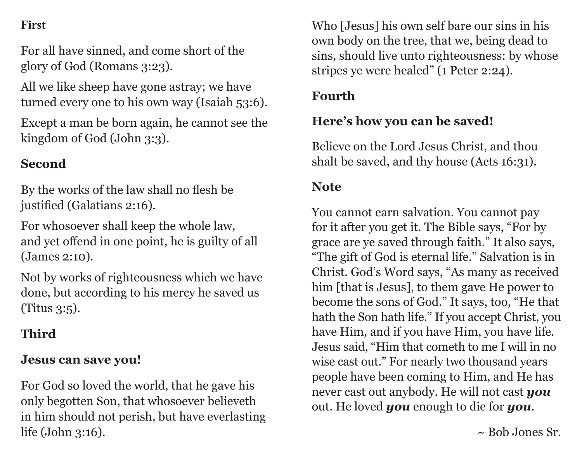### **First**

For all have sinned, and come short of the glory of God (Romans 3:23).

All we like sheep have gone astray; we have turned every one to his own way (Isaiah 53:6).

Except a man be born again, he cannot see the kingdom of God (John 3:3).

## **Second**

By the works of the law shall no flesh be justified (Galatians 2:16).

For whosoever shall keep the whole law, and yet offend in one point*,* he is guilty of all (James 2:10).

Not by works of righteousness which we have done, but according to his mercy he saved us (Titus 3:5).

## **Third**

#### **Jesus can save you!**

For God so loved the world, that he gave his only begotten Son, that whosoever believeth in him should not perish, but have everlasting life (John 3:16).

Who [Jesus] his own self bare our sins in his own body on the tree, that we, being dead to sins, should live unto righteousness: by whose stripes ye were healed" (1 Peter 2:24).

## **Fourth**

## **Here's how you can be saved!**

Believe on the Lord Jesus Christ, and thou shalt be saved, and thy house (Acts 16:31).

#### **Note**

You cannot earn salvation. You cannot pay for it after you get it. The Bible says, "For by grace are ye saved through faith." It also says, "The gift of God is eternal life." Salvation is in Christ. God's Word says, "As many as received him [that is Jesus], to them gave He power to become the sons of God." It says, too, "He that hath the Son hath life." If you accept Christ, you have Him, and if you have Him, you have life. Jesus said, "Him that cometh to me I will in no wise cast out." For nearly two thousand years people have been coming to Him, and He has never cast out anybody. He will not cast *you* out. He loved *you* enough to die for *you*.

 $\sim$  Bob Jones Sr.